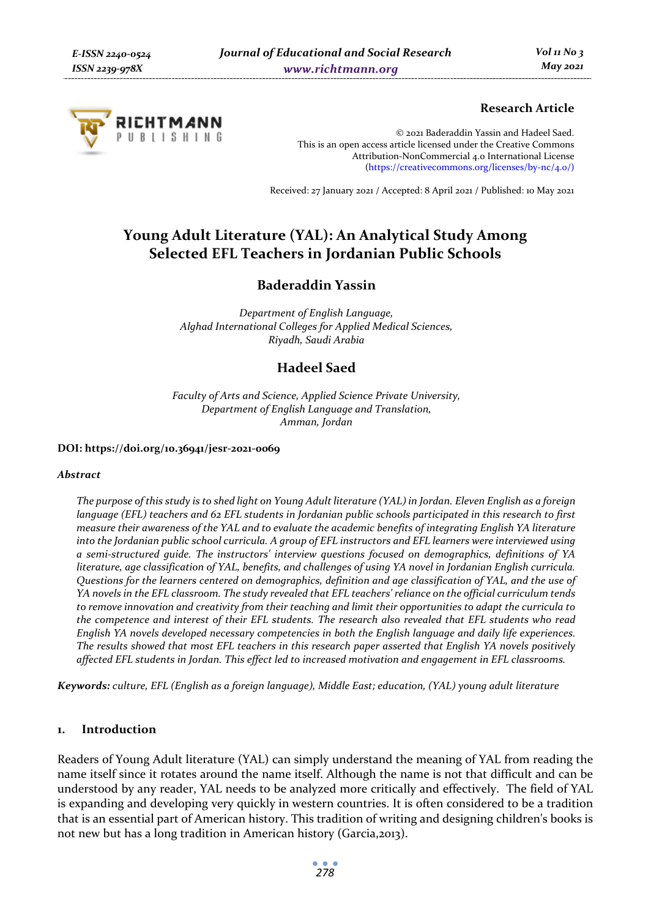

## **Research Article**

© 2021 Baderaddin Yassin and Hadeel Saed. This is an open access article licensed under the Creative Commons Attribution-NonCommercial 4.0 International License (https://creativecommons.org/licenses/by-nc/4.0/)

Received: 27 January 2021 / Accepted: 8 April 2021 / Published: 10 May 2021

# **Young Adult Literature (YAL): An Analytical Study Among Selected EFL Teachers in Jordanian Public Schools**

## **Baderaddin Yassin**

*Department of English Language, Alghad International Colleges for Applied Medical Sciences, Riyadh, Saudi Arabia* 

# **Hadeel Saed**

*Faculty of Arts and Science, Applied Science Private University, Department of English Language and Translation, Amman, Jordan* 

#### **DOI: https://doi.org/10.36941/jesr-2021-0069**

#### *Abstract*

*The purpose of this study is to shed light on Young Adult literature (YAL) in Jordan. Eleven English as a foreign language (EFL) teachers and 62 EFL students in Jordanian public schools participated in this research to first measure their awareness of the YAL and to evaluate the academic benefits of integrating English YA literature into the Jordanian public school curricula. A group of EFL instructors and EFL learners were interviewed using a semi-structured guide. The instructors' interview questions focused on demographics, definitions of YA literature, age classification of YAL, benefits, and challenges of using YA novel in Jordanian English curricula. Questions for the learners centered on demographics, definition and age classification of YAL, and the use of YA novels in the EFL classroom. The study revealed that EFL teachers' reliance on the official curriculum tends to remove innovation and creativity from their teaching and limit their opportunities to adapt the curricula to the competence and interest of their EFL students. The research also revealed that EFL students who read English YA novels developed necessary competencies in both the English language and daily life experiences. The results showed that most EFL teachers in this research paper asserted that English YA novels positively affected EFL students in Jordan. This effect led to increased motivation and engagement in EFL classrooms.* 

*Keywords: culture, EFL (English as a foreign language), Middle East; education, (YAL) young adult literature* 

## **1. Introduction**

Readers of Young Adult literature (YAL) can simply understand the meaning of YAL from reading the name itself since it rotates around the name itself. Although the name is not that difficult and can be understood by any reader, YAL needs to be analyzed more critically and effectively. The field of YAL is expanding and developing very quickly in western countries. It is often considered to be a tradition that is an essential part of American history. This tradition of writing and designing children's books is not new but has a long tradition in American history (Garcia,2013).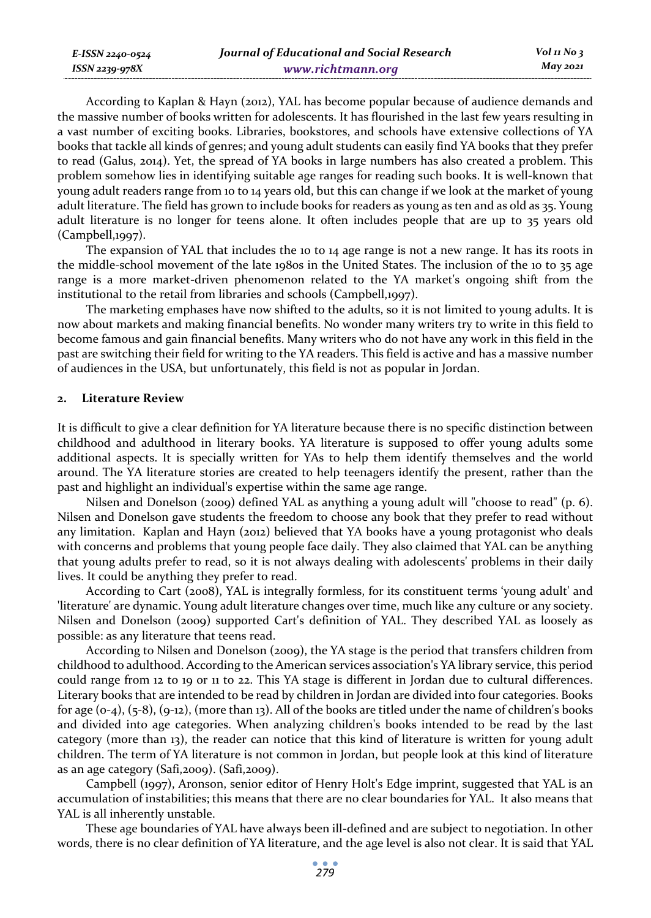| <b>Journal of Educational and Social Research</b> |
|---------------------------------------------------|
| www.richtmann.org                                 |

According to Kaplan & Hayn (2012), YAL has become popular because of audience demands and the massive number of books written for adolescents. It has flourished in the last few years resulting in a vast number of exciting books. Libraries, bookstores, and schools have extensive collections of YA books that tackle all kinds of genres; and young adult students can easily find YA books that they prefer to read (Galus, 2014). Yet, the spread of YA books in large numbers has also created a problem. This problem somehow lies in identifying suitable age ranges for reading such books. It is well-known that young adult readers range from 10 to 14 years old, but this can change if we look at the market of young adult literature. The field has grown to include books for readers as young as ten and as old as 35. Young adult literature is no longer for teens alone. It often includes people that are up to 35 years old (Campbell,1997).

The expansion of YAL that includes the 10 to 14 age range is not a new range. It has its roots in the middle-school movement of the late 1980s in the United States. The inclusion of the 10 to 35 age range is a more market-driven phenomenon related to the YA market's ongoing shift from the institutional to the retail from libraries and schools (Campbell,1997).

The marketing emphases have now shifted to the adults, so it is not limited to young adults. It is now about markets and making financial benefits. No wonder many writers try to write in this field to become famous and gain financial benefits. Many writers who do not have any work in this field in the past are switching their field for writing to the YA readers. This field is active and has a massive number of audiences in the USA, but unfortunately, this field is not as popular in Jordan.

#### **2. Literature Review**

*E-ISSN 2240-0524 ISSN 2239-978X*

It is difficult to give a clear definition for YA literature because there is no specific distinction between childhood and adulthood in literary books. YA literature is supposed to offer young adults some additional aspects. It is specially written for YAs to help them identify themselves and the world around. The YA literature stories are created to help teenagers identify the present, rather than the past and highlight an individual's expertise within the same age range.

Nilsen and Donelson (2009) defined YAL as anything a young adult will "choose to read" (p. 6). Nilsen and Donelson gave students the freedom to choose any book that they prefer to read without any limitation. Kaplan and Hayn (2012) believed that YA books have a young protagonist who deals with concerns and problems that young people face daily. They also claimed that YAL can be anything that young adults prefer to read, so it is not always dealing with adolescents' problems in their daily lives. It could be anything they prefer to read.

According to Cart (2008), YAL is integrally formless, for its constituent terms 'young adult' and 'literature' are dynamic. Young adult literature changes over time, much like any culture or any society. Nilsen and Donelson (2009) supported Cart's definition of YAL. They described YAL as loosely as possible: as any literature that teens read.

According to Nilsen and Donelson (2009), the YA stage is the period that transfers children from childhood to adulthood. According to the American services association's YA library service, this period could range from 12 to 19 or 11 to 22. This YA stage is different in Jordan due to cultural differences. Literary books that are intended to be read by children in Jordan are divided into four categories. Books for age  $(o-4)$ ,  $(5-8)$ ,  $(o-12)$ ,  $(more than 13)$ . All of the books are titled under the name of children's books and divided into age categories. When analyzing children's books intended to be read by the last category (more than 13), the reader can notice that this kind of literature is written for young adult children. The term of YA literature is not common in Jordan, but people look at this kind of literature as an age category (Safi,2009). (Safi,2009).

Campbell (1997), Aronson, senior editor of Henry Holt's Edge imprint, suggested that YAL is an accumulation of instabilities; this means that there are no clear boundaries for YAL. It also means that YAL is all inherently unstable.

These age boundaries of YAL have always been ill-defined and are subject to negotiation. In other words, there is no clear definition of YA literature, and the age level is also not clear. It is said that YAL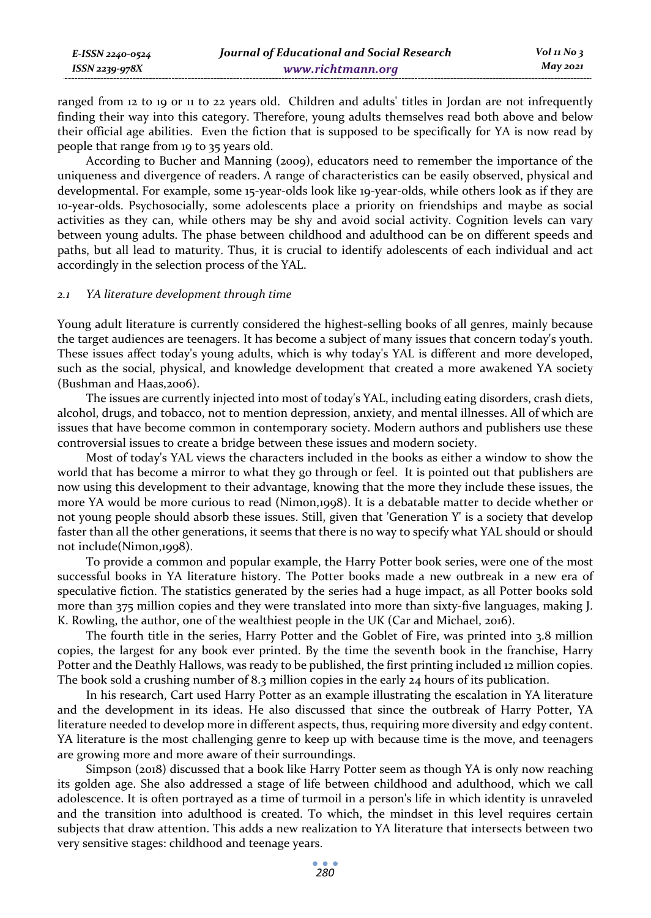| E-ISSN 2240-0524    | Journal of Educational and Social Research | Vol 11 No $\frac{1}{3}$ |
|---------------------|--------------------------------------------|-------------------------|
| $ISSN$ 2239-97 $8X$ | www.richtmann.org                          | May 2021                |

ranged from 12 to 19 or 11 to 22 years old. Children and adults' titles in Jordan are not infrequently finding their way into this category. Therefore, young adults themselves read both above and below their official age abilities. Even the fiction that is supposed to be specifically for YA is now read by people that range from 19 to 35 years old.

According to Bucher and Manning (2009), educators need to remember the importance of the uniqueness and divergence of readers. A range of characteristics can be easily observed, physical and developmental. For example, some 15-year-olds look like 19-year-olds, while others look as if they are 10-year-olds. Psychosocially, some adolescents place a priority on friendships and maybe as social activities as they can, while others may be shy and avoid social activity. Cognition levels can vary between young adults. The phase between childhood and adulthood can be on different speeds and paths, but all lead to maturity. Thus, it is crucial to identify adolescents of each individual and act accordingly in the selection process of the YAL.

#### *2.1 YA literature development through time*

Young adult literature is currently considered the highest-selling books of all genres, mainly because the target audiences are teenagers. It has become a subject of many issues that concern today's youth. These issues affect today's young adults, which is why today's YAL is different and more developed, such as the social, physical, and knowledge development that created a more awakened YA society (Bushman and Haas,2006).

The issues are currently injected into most of today's YAL, including eating disorders, crash diets, alcohol, drugs, and tobacco, not to mention depression, anxiety, and mental illnesses. All of which are issues that have become common in contemporary society. Modern authors and publishers use these controversial issues to create a bridge between these issues and modern society.

Most of today's YAL views the characters included in the books as either a window to show the world that has become a mirror to what they go through or feel. It is pointed out that publishers are now using this development to their advantage, knowing that the more they include these issues, the more YA would be more curious to read (Nimon,1998). It is a debatable matter to decide whether or not young people should absorb these issues. Still, given that 'Generation Y' is a society that develop faster than all the other generations, it seems that there is no way to specify what YAL should or should not include(Nimon,1998).

To provide a common and popular example, the Harry Potter book series, were one of the most successful books in YA literature history. The Potter books made a new outbreak in a new era of speculative fiction. The statistics generated by the series had a huge impact, as all Potter books sold more than 375 million copies and they were translated into more than sixty-five languages, making J. K. Rowling, the author, one of the wealthiest people in the UK (Car and Michael, 2016).

The fourth title in the series, Harry Potter and the Goblet of Fire, was printed into 3.8 million copies, the largest for any book ever printed. By the time the seventh book in the franchise, Harry Potter and the Deathly Hallows, was ready to be published, the first printing included 12 million copies. The book sold a crushing number of 8.3 million copies in the early 24 hours of its publication.

In his research, Cart used Harry Potter as an example illustrating the escalation in YA literature and the development in its ideas. He also discussed that since the outbreak of Harry Potter, YA literature needed to develop more in different aspects, thus, requiring more diversity and edgy content. YA literature is the most challenging genre to keep up with because time is the move, and teenagers are growing more and more aware of their surroundings.

Simpson (2018) discussed that a book like Harry Potter seem as though YA is only now reaching its golden age. She also addressed a stage of life between childhood and adulthood, which we call adolescence. It is often portrayed as a time of turmoil in a person's life in which identity is unraveled and the transition into adulthood is created. To which, the mindset in this level requires certain subjects that draw attention. This adds a new realization to YA literature that intersects between two very sensitive stages: childhood and teenage years.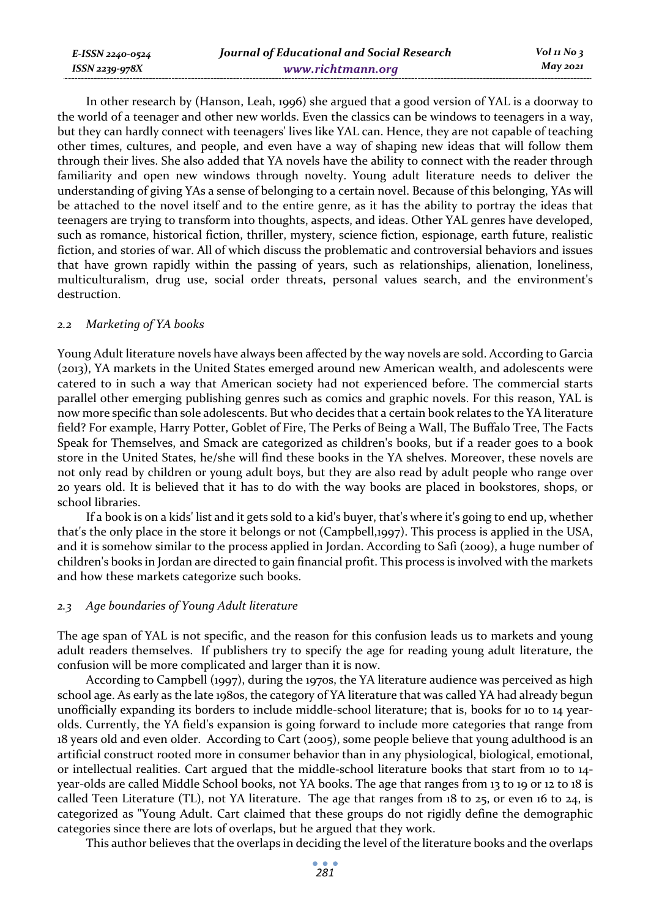| E-ISSN 2240-0524 |  |
|------------------|--|
| ISSN 2239-978X   |  |

In other research by (Hanson, Leah, 1996) she argued that a good version of YAL is a doorway to the world of a teenager and other new worlds. Even the classics can be windows to teenagers in a way, but they can hardly connect with teenagers' lives like YAL can. Hence, they are not capable of teaching other times, cultures, and people, and even have a way of shaping new ideas that will follow them through their lives. She also added that YA novels have the ability to connect with the reader through familiarity and open new windows through novelty. Young adult literature needs to deliver the understanding of giving YAs a sense of belonging to a certain novel. Because of this belonging, YAs will be attached to the novel itself and to the entire genre, as it has the ability to portray the ideas that teenagers are trying to transform into thoughts, aspects, and ideas. Other YAL genres have developed, such as romance, historical fiction, thriller, mystery, science fiction, espionage, earth future, realistic fiction, and stories of war. All of which discuss the problematic and controversial behaviors and issues that have grown rapidly within the passing of years, such as relationships, alienation, loneliness, multiculturalism, drug use, social order threats, personal values search, and the environment's destruction.

#### *2.2 Marketing of YA books*

Young Adult literature novels have always been affected by the way novels are sold. According to Garcia (2013), YA markets in the United States emerged around new American wealth, and adolescents were catered to in such a way that American society had not experienced before. The commercial starts parallel other emerging publishing genres such as comics and graphic novels. For this reason, YAL is now more specific than sole adolescents. But who decides that a certain book relates to the YA literature field? For example, Harry Potter, Goblet of Fire, The Perks of Being a Wall, The Buffalo Tree, The Facts Speak for Themselves, and Smack are categorized as children's books, but if a reader goes to a book store in the United States, he/she will find these books in the YA shelves. Moreover, these novels are not only read by children or young adult boys, but they are also read by adult people who range over 20 years old. It is believed that it has to do with the way books are placed in bookstores, shops, or school libraries.

If a book is on a kids' list and it gets sold to a kid's buyer, that's where it's going to end up, whether that's the only place in the store it belongs or not (Campbell,1997). This process is applied in the USA, and it is somehow similar to the process applied in Jordan. According to Safi (2009), a huge number of children's books in Jordan are directed to gain financial profit. This process is involved with the markets and how these markets categorize such books.

#### *2.3 Age boundaries of Young Adult literature*

The age span of YAL is not specific, and the reason for this confusion leads us to markets and young adult readers themselves. If publishers try to specify the age for reading young adult literature, the confusion will be more complicated and larger than it is now.

According to Campbell (1997), during the 1970s, the YA literature audience was perceived as high school age. As early as the late 1980s, the category of YA literature that was called YA had already begun unofficially expanding its borders to include middle-school literature; that is, books for 10 to 14 yearolds. Currently, the YA field's expansion is going forward to include more categories that range from 18 years old and even older. According to Cart (2005), some people believe that young adulthood is an artificial construct rooted more in consumer behavior than in any physiological, biological, emotional, or intellectual realities. Cart argued that the middle-school literature books that start from 10 to 14 year-olds are called Middle School books, not YA books. The age that ranges from 13 to 19 or 12 to 18 is called Teen Literature (TL), not YA literature. The age that ranges from 18 to 25, or even 16 to 24, is categorized as "Young Adult. Cart claimed that these groups do not rigidly define the demographic categories since there are lots of overlaps, but he argued that they work.

This author believes that the overlaps in deciding the level of the literature books and the overlaps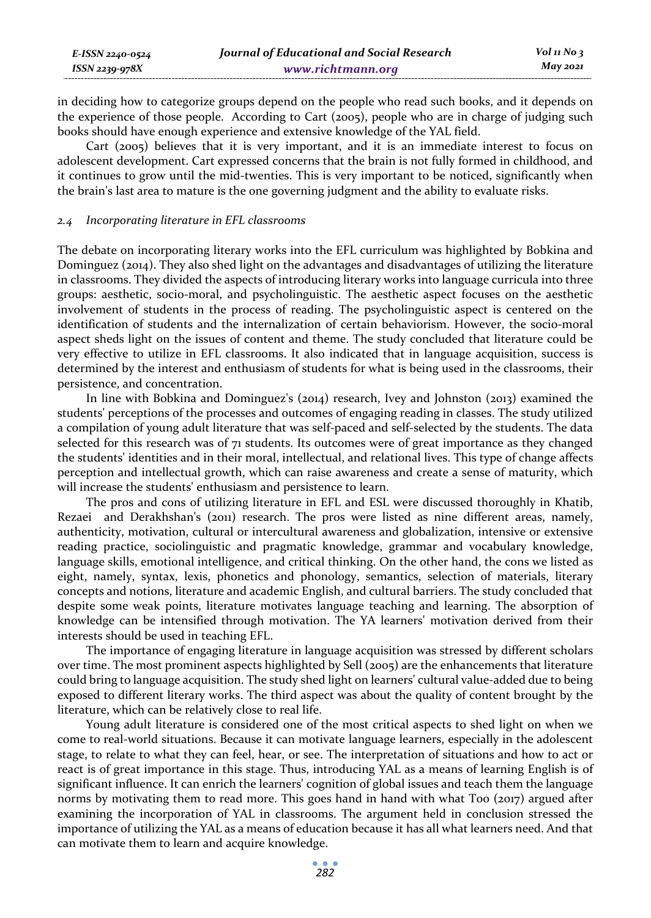| E-ISSN 2240-0524    | Journal of Educational and Social Research | Vol 11 No 3 |
|---------------------|--------------------------------------------|-------------|
| $ISSN$ 2239-97 $8X$ | www.richtmann.org                          | May 2021    |

in deciding how to categorize groups depend on the people who read such books, and it depends on the experience of those people. According to Cart (2005), people who are in charge of judging such books should have enough experience and extensive knowledge of the YAL field.

Cart (2005) believes that it is very important, and it is an immediate interest to focus on adolescent development. Cart expressed concerns that the brain is not fully formed in childhood, and it continues to grow until the mid-twenties. This is very important to be noticed, significantly when the brain's last area to mature is the one governing judgment and the ability to evaluate risks.

#### *2.4 Incorporating literature in EFL classrooms*

The debate on incorporating literary works into the EFL curriculum was highlighted by Bobkina and Dominguez (2014). They also shed light on the advantages and disadvantages of utilizing the literature in classrooms. They divided the aspects of introducing literary works into language curricula into three groups: aesthetic, socio-moral, and psycholinguistic. The aesthetic aspect focuses on the aesthetic involvement of students in the process of reading. The psycholinguistic aspect is centered on the identification of students and the internalization of certain behaviorism. However, the socio-moral aspect sheds light on the issues of content and theme. The study concluded that literature could be very effective to utilize in EFL classrooms. It also indicated that in language acquisition, success is determined by the interest and enthusiasm of students for what is being used in the classrooms, their persistence, and concentration.

In line with Bobkina and Dominguez's (2014) research, Ivey and Johnston (2013) examined the students' perceptions of the processes and outcomes of engaging reading in classes. The study utilized a compilation of young adult literature that was self-paced and self-selected by the students. The data selected for this research was of  $71$  students. Its outcomes were of great importance as they changed the students' identities and in their moral, intellectual, and relational lives. This type of change affects perception and intellectual growth, which can raise awareness and create a sense of maturity, which will increase the students' enthusiasm and persistence to learn.

The pros and cons of utilizing literature in EFL and ESL were discussed thoroughly in Khatib, Rezaei and Derakhshan's (2011) research. The pros were listed as nine different areas, namely, authenticity, motivation, cultural or intercultural awareness and globalization, intensive or extensive reading practice, sociolinguistic and pragmatic knowledge, grammar and vocabulary knowledge, language skills, emotional intelligence, and critical thinking. On the other hand, the cons we listed as eight, namely, syntax, lexis, phonetics and phonology, semantics, selection of materials, literary concepts and notions, literature and academic English, and cultural barriers. The study concluded that despite some weak points, literature motivates language teaching and learning. The absorption of knowledge can be intensified through motivation. The YA learners' motivation derived from their interests should be used in teaching EFL.

The importance of engaging literature in language acquisition was stressed by different scholars over time. The most prominent aspects highlighted by Sell (2005) are the enhancements that literature could bring to language acquisition. The study shed light on learners' cultural value-added due to being exposed to different literary works. The third aspect was about the quality of content brought by the literature, which can be relatively close to real life.

Young adult literature is considered one of the most critical aspects to shed light on when we come to real-world situations. Because it can motivate language learners, especially in the adolescent stage, to relate to what they can feel, hear, or see. The interpretation of situations and how to act or react is of great importance in this stage. Thus, introducing YAL as a means of learning English is of significant influence. It can enrich the learners' cognition of global issues and teach them the language norms by motivating them to read more. This goes hand in hand with what Too (2017) argued after examining the incorporation of YAL in classrooms. The argument held in conclusion stressed the importance of utilizing the YAL as a means of education because it has all what learners need. And that can motivate them to learn and acquire knowledge.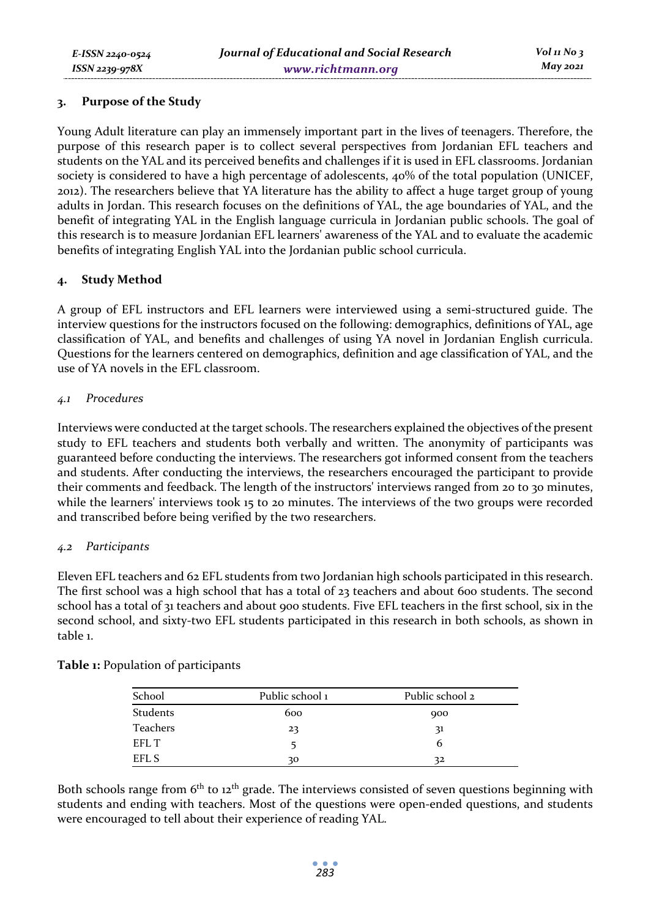## **3. Purpose of the Study**

Young Adult literature can play an immensely important part in the lives of teenagers. Therefore, the purpose of this research paper is to collect several perspectives from Jordanian EFL teachers and students on the YAL and its perceived benefits and challenges if it is used in EFL classrooms. Jordanian society is considered to have a high percentage of adolescents, 40% of the total population (UNICEF, 2012). The researchers believe that YA literature has the ability to affect a huge target group of young adults in Jordan. This research focuses on the definitions of YAL, the age boundaries of YAL, and the benefit of integrating YAL in the English language curricula in Jordanian public schools. The goal of this research is to measure Jordanian EFL learners' awareness of the YAL and to evaluate the academic benefits of integrating English YAL into the Jordanian public school curricula.

## **4. Study Method**

A group of EFL instructors and EFL learners were interviewed using a semi-structured guide. The interview questions for the instructors focused on the following: demographics, definitions of YAL, age classification of YAL, and benefits and challenges of using YA novel in Jordanian English curricula. Questions for the learners centered on demographics, definition and age classification of YAL, and the use of YA novels in the EFL classroom.

## *4.1 Procedures*

Interviews were conducted at the target schools. The researchers explained the objectives of the present study to EFL teachers and students both verbally and written. The anonymity of participants was guaranteed before conducting the interviews. The researchers got informed consent from the teachers and students. After conducting the interviews, the researchers encouraged the participant to provide their comments and feedback. The length of the instructors' interviews ranged from 20 to 30 minutes, while the learners' interviews took 15 to 20 minutes. The interviews of the two groups were recorded and transcribed before being verified by the two researchers.

## *4.2 Participants*

Eleven EFL teachers and 62 EFL students from two Jordanian high schools participated in this research. The first school was a high school that has a total of 23 teachers and about 600 students. The second school has a total of 31 teachers and about 900 students. Five EFL teachers in the first school, six in the second school, and sixty-two EFL students participated in this research in both schools, as shown in table 1.

| School   | Public school 1 | Public school 2 |
|----------|-----------------|-----------------|
| Students | 600             | 900             |
| Teachers | 23              | 31              |
| EFL T    |                 | b               |
| EFL S    | 30              | 32              |

**Table 1:** Population of participants

Both schools range from  $6<sup>th</sup>$  to 12<sup>th</sup> grade. The interviews consisted of seven questions beginning with students and ending with teachers. Most of the questions were open-ended questions, and students were encouraged to tell about their experience of reading YAL.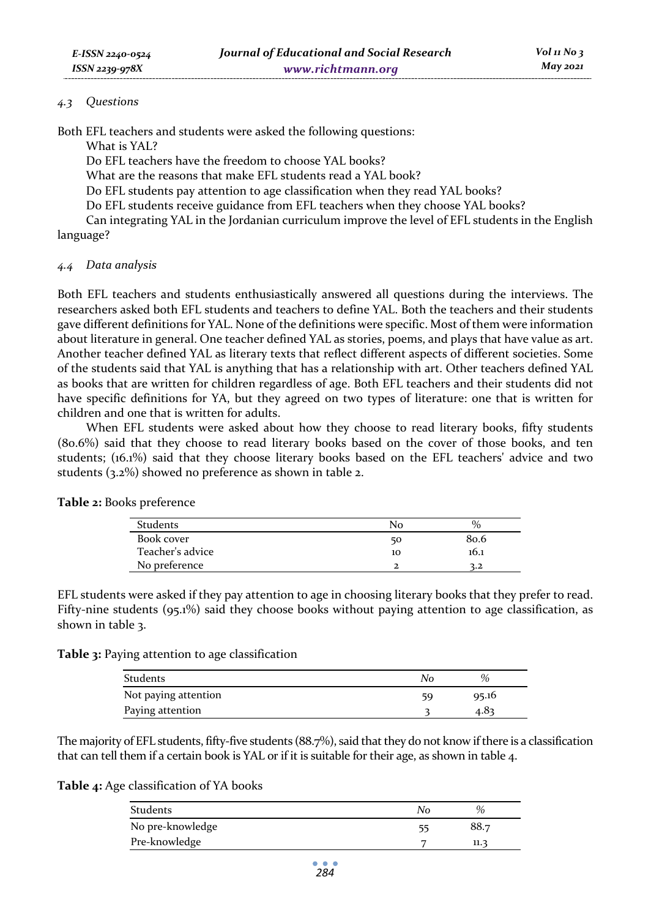## *4.3 Questions*

Both EFL teachers and students were asked the following questions:

What is YAL?

Do EFL teachers have the freedom to choose YAL books?

What are the reasons that make EFL students read a YAL book?

Do EFL students pay attention to age classification when they read YAL books?

Do EFL students receive guidance from EFL teachers when they choose YAL books?

Can integrating YAL in the Jordanian curriculum improve the level of EFL students in the English language?

#### *4.4 Data analysis*

Both EFL teachers and students enthusiastically answered all questions during the interviews. The researchers asked both EFL students and teachers to define YAL. Both the teachers and their students gave different definitions for YAL. None of the definitions were specific. Most of them were information about literature in general. One teacher defined YAL as stories, poems, and plays that have value as art. Another teacher defined YAL as literary texts that reflect different aspects of different societies. Some of the students said that YAL is anything that has a relationship with art. Other teachers defined YAL as books that are written for children regardless of age. Both EFL teachers and their students did not have specific definitions for YA, but they agreed on two types of literature: one that is written for children and one that is written for adults.

When EFL students were asked about how they choose to read literary books, fifty students (80.6%) said that they choose to read literary books based on the cover of those books, and ten students; (16.1%) said that they choose literary books based on the EFL teachers' advice and two students (3.2%) showed no preference as shown in table 2.

| <b>Students</b>  | Nο | $\%$ |
|------------------|----|------|
| Book cover       | 50 | 80.6 |
| Teacher's advice | 10 | 16.1 |
| No preference    |    | 3.2  |

**Table 2:** Books preference

EFL students were asked if they pay attention to age in choosing literary books that they prefer to read. Fifty-nine students (95.1%) said they choose books without paying attention to age classification, as shown in table 3.

| Students             | No | $\%$  |
|----------------------|----|-------|
| Not paying attention | 59 | 95.16 |
| Paying attention     |    | 4.83  |

The majority of EFL students, fifty-five students (88.7%), said that they do not know if there is a classification that can tell them if a certain book is YAL or if it is suitable for their age, as shown in table 4.

**Table 4:** Age classification of YA books

| Students         | No | %    |
|------------------|----|------|
| No pre-knowledge |    | 88.7 |
| Pre-knowledge    |    | 11.3 |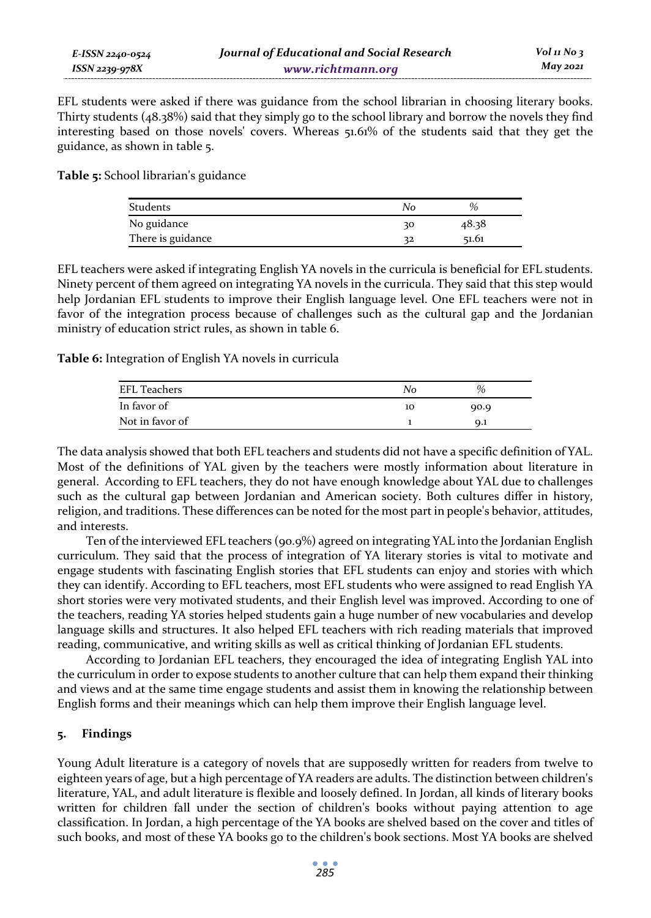EFL students were asked if there was guidance from the school librarian in choosing literary books. Thirty students (48.38%) said that they simply go to the school library and borrow the novels they find interesting based on those novels' covers. Whereas 51.61% of the students said that they get the guidance, as shown in table 5.

**Table 5:** School librarian's guidance

| Students          | Nο | %     |
|-------------------|----|-------|
| No guidance       | 30 | 48.38 |
| There is guidance | 32 | 51.61 |

EFL teachers were asked if integrating English YA novels in the curricula is beneficial for EFL students. Ninety percent of them agreed on integrating YA novels in the curricula. They said that this step would help Jordanian EFL students to improve their English language level. One EFL teachers were not in favor of the integration process because of challenges such as the cultural gap and the Jordanian ministry of education strict rules, as shown in table 6.

**Table 6:** Integration of English YA novels in curricula

| <b>EFL Teachers</b> | No | $\%$ |  |
|---------------------|----|------|--|
| In favor of         | 10 | 90.9 |  |
| Not in favor of     |    | Q.1  |  |
|                     |    |      |  |

The data analysis showed that both EFL teachers and students did not have a specific definition of YAL. Most of the definitions of YAL given by the teachers were mostly information about literature in general. According to EFL teachers, they do not have enough knowledge about YAL due to challenges such as the cultural gap between Jordanian and American society. Both cultures differ in history, religion, and traditions. These differences can be noted for the most part in people's behavior, attitudes, and interests.

Ten of the interviewed EFL teachers (90.9%) agreed on integrating YAL into the Jordanian English curriculum. They said that the process of integration of YA literary stories is vital to motivate and engage students with fascinating English stories that EFL students can enjoy and stories with which they can identify. According to EFL teachers, most EFL students who were assigned to read English YA short stories were very motivated students, and their English level was improved. According to one of the teachers, reading YA stories helped students gain a huge number of new vocabularies and develop language skills and structures. It also helped EFL teachers with rich reading materials that improved reading, communicative, and writing skills as well as critical thinking of Jordanian EFL students.

According to Jordanian EFL teachers, they encouraged the idea of integrating English YAL into the curriculum in order to expose students to another culture that can help them expand their thinking and views and at the same time engage students and assist them in knowing the relationship between English forms and their meanings which can help them improve their English language level.

## **5. Findings**

Young Adult literature is a category of novels that are supposedly written for readers from twelve to eighteen years of age, but a high percentage of YA readers are adults. The distinction between children's literature, YAL, and adult literature is flexible and loosely defined. In Jordan, all kinds of literary books written for children fall under the section of children's books without paying attention to age classification. In Jordan, a high percentage of the YA books are shelved based on the cover and titles of such books, and most of these YA books go to the children's book sections. Most YA books are shelved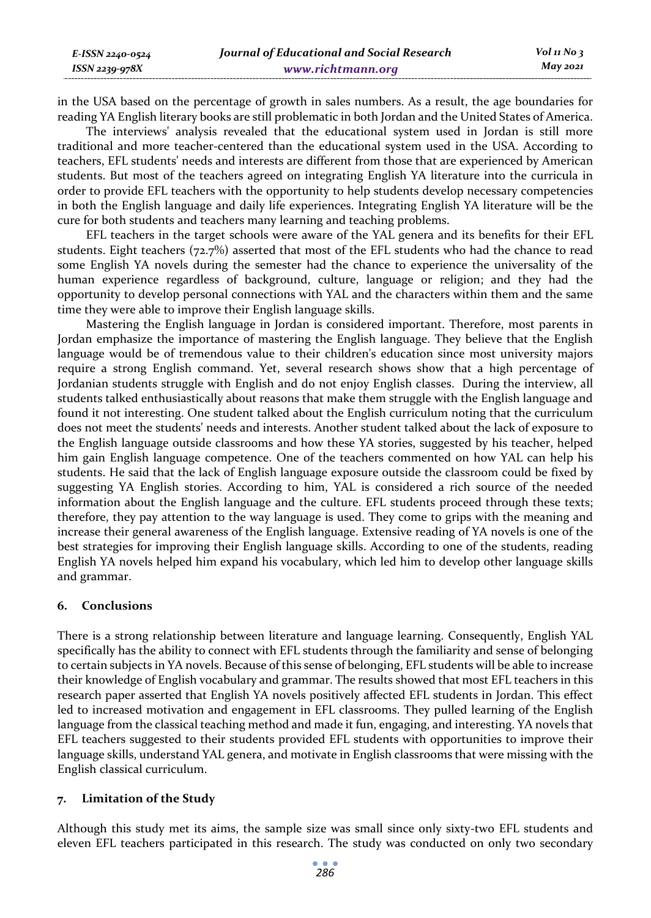in the USA based on the percentage of growth in sales numbers. As a result, the age boundaries for reading YA English literary books are still problematic in both Jordan and the United States of America.

The interviews' analysis revealed that the educational system used in Jordan is still more traditional and more teacher-centered than the educational system used in the USA. According to teachers, EFL students' needs and interests are different from those that are experienced by American students. But most of the teachers agreed on integrating English YA literature into the curricula in order to provide EFL teachers with the opportunity to help students develop necessary competencies in both the English language and daily life experiences. Integrating English YA literature will be the cure for both students and teachers many learning and teaching problems.

EFL teachers in the target schools were aware of the YAL genera and its benefits for their EFL students. Eight teachers (72.7%) asserted that most of the EFL students who had the chance to read some English YA novels during the semester had the chance to experience the universality of the human experience regardless of background, culture, language or religion; and they had the opportunity to develop personal connections with YAL and the characters within them and the same time they were able to improve their English language skills.

Mastering the English language in Jordan is considered important. Therefore, most parents in Jordan emphasize the importance of mastering the English language. They believe that the English language would be of tremendous value to their children's education since most university majors require a strong English command. Yet, several research shows show that a high percentage of Jordanian students struggle with English and do not enjoy English classes. During the interview, all students talked enthusiastically about reasons that make them struggle with the English language and found it not interesting. One student talked about the English curriculum noting that the curriculum does not meet the students' needs and interests. Another student talked about the lack of exposure to the English language outside classrooms and how these YA stories, suggested by his teacher, helped him gain English language competence. One of the teachers commented on how YAL can help his students. He said that the lack of English language exposure outside the classroom could be fixed by suggesting YA English stories. According to him, YAL is considered a rich source of the needed information about the English language and the culture. EFL students proceed through these texts; therefore, they pay attention to the way language is used. They come to grips with the meaning and increase their general awareness of the English language. Extensive reading of YA novels is one of the best strategies for improving their English language skills. According to one of the students, reading English YA novels helped him expand his vocabulary, which led him to develop other language skills and grammar.

## **6. Conclusions**

*E-ISSN 2240-0524 ISSN 2239-978X*

There is a strong relationship between literature and language learning. Consequently, English YAL specifically has the ability to connect with EFL students through the familiarity and sense of belonging to certain subjects in YA novels. Because of this sense of belonging, EFL students will be able to increase their knowledge of English vocabulary and grammar. The results showed that most EFL teachers in this research paper asserted that English YA novels positively affected EFL students in Jordan. This effect led to increased motivation and engagement in EFL classrooms. They pulled learning of the English language from the classical teaching method and made it fun, engaging, and interesting. YA novels that EFL teachers suggested to their students provided EFL students with opportunities to improve their language skills, understand YAL genera, and motivate in English classrooms that were missing with the English classical curriculum.

## **7. Limitation of the Study**

Although this study met its aims, the sample size was small since only sixty-two EFL students and eleven EFL teachers participated in this research. The study was conducted on only two secondary